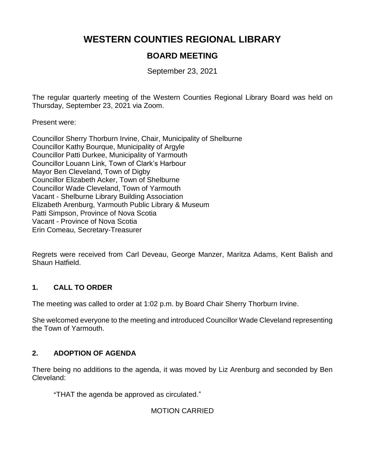# **WESTERN COUNTIES REGIONAL LIBRARY**

## **BOARD MEETING**

September 23, 2021

The regular quarterly meeting of the Western Counties Regional Library Board was held on Thursday, September 23, 2021 via Zoom.

Present were:

Councillor Sherry Thorburn Irvine, Chair, Municipality of Shelburne Councillor Kathy Bourque, Municipality of Argyle Councillor Patti Durkee, Municipality of Yarmouth Councillor Louann Link, Town of Clark's Harbour Mayor Ben Cleveland, Town of Digby Councillor Elizabeth Acker, Town of Shelburne Councillor Wade Cleveland, Town of Yarmouth Vacant - Shelburne Library Building Association Elizabeth Arenburg, Yarmouth Public Library & Museum Patti Simpson, Province of Nova Scotia Vacant - Province of Nova Scotia Erin Comeau, Secretary-Treasurer

Regrets were received from Carl Deveau, George Manzer, Maritza Adams, Kent Balish and Shaun Hatfield.

## **1. CALL TO ORDER**

The meeting was called to order at 1:02 p.m. by Board Chair Sherry Thorburn Irvine.

She welcomed everyone to the meeting and introduced Councillor Wade Cleveland representing the Town of Yarmouth.

## **2. ADOPTION OF AGENDA**

There being no additions to the agenda, it was moved by Liz Arenburg and seconded by Ben Cleveland:

"THAT the agenda be approved as circulated."

MOTION CARRIED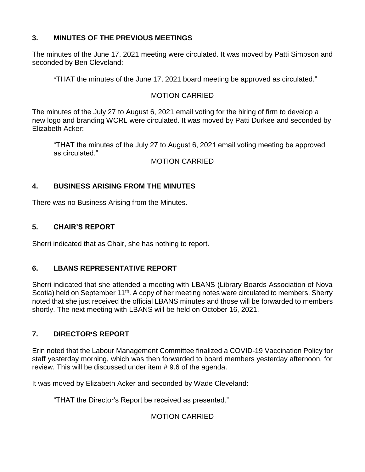## **3. MINUTES OF THE PREVIOUS MEETINGS**

The minutes of the June 17, 2021 meeting were circulated. It was moved by Patti Simpson and seconded by Ben Cleveland:

"THAT the minutes of the June 17, 2021 board meeting be approved as circulated."

## MOTION CARRIED

The minutes of the July 27 to August 6, 2021 email voting for the hiring of firm to develop a new logo and branding WCRL were circulated. It was moved by Patti Durkee and seconded by Elizabeth Acker:

"THAT the minutes of the July 27 to August 6, 2021 email voting meeting be approved as circulated."

MOTION CARRIED

## **4. BUSINESS ARISING FROM THE MINUTES**

There was no Business Arising from the Minutes.

## **5. CHAIR'S REPORT**

Sherri indicated that as Chair, she has nothing to report.

## **6. LBANS REPRESENTATIVE REPORT**

Sherri indicated that she attended a meeting with LBANS (Library Boards Association of Nova Scotia) held on September 11<sup>th</sup>. A copy of her meeting notes were circulated to members. Sherry noted that she just received the official LBANS minutes and those will be forwarded to members shortly. The next meeting with LBANS will be held on October 16, 2021.

## **7. DIRECTOR**=**S REPORT**

Erin noted that the Labour Management Committee finalized a COVID-19 Vaccination Policy for staff yesterday morning, which was then forwarded to board members yesterday afternoon, for review. This will be discussed under item # 9.6 of the agenda.

It was moved by Elizabeth Acker and seconded by Wade Cleveland:

"THAT the Director's Report be received as presented."

## MOTION CARRIED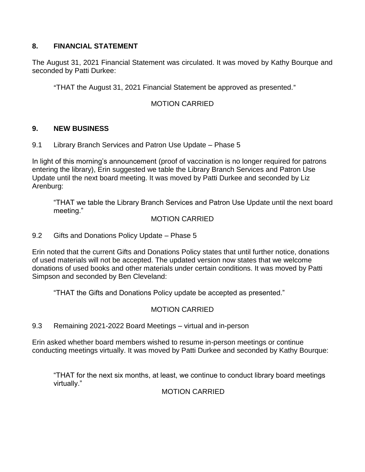## **8. FINANCIAL STATEMENT**

The August 31, 2021 Financial Statement was circulated. It was moved by Kathy Bourque and seconded by Patti Durkee:

"THAT the August 31, 2021 Financial Statement be approved as presented."

### MOTION CARRIED

#### **9. NEW BUSINESS**

9.1 Library Branch Services and Patron Use Update – Phase 5

In light of this morning's announcement (proof of vaccination is no longer required for patrons entering the library), Erin suggested we table the Library Branch Services and Patron Use Update until the next board meeting. It was moved by Patti Durkee and seconded by Liz Arenburg:

"THAT we table the Library Branch Services and Patron Use Update until the next board meeting."

#### MOTION CARRIED

9.2 Gifts and Donations Policy Update – Phase 5

Erin noted that the current Gifts and Donations Policy states that until further notice, donations of used materials will not be accepted. The updated version now states that we welcome donations of used books and other materials under certain conditions. It was moved by Patti Simpson and seconded by Ben Cleveland:

"THAT the Gifts and Donations Policy update be accepted as presented."

#### MOTION CARRIED

9.3 Remaining 2021-2022 Board Meetings – virtual and in-person

Erin asked whether board members wished to resume in-person meetings or continue conducting meetings virtually. It was moved by Patti Durkee and seconded by Kathy Bourque:

"THAT for the next six months, at least, we continue to conduct library board meetings virtually."

#### MOTION CARRIED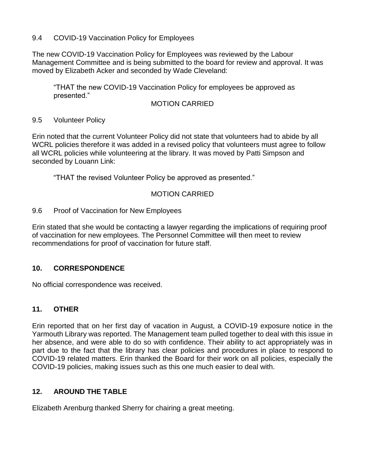#### 9.4 COVID-19 Vaccination Policy for Employees

The new COVID-19 Vaccination Policy for Employees was reviewed by the Labour Management Committee and is being submitted to the board for review and approval. It was moved by Elizabeth Acker and seconded by Wade Cleveland:

"THAT the new COVID-19 Vaccination Policy for employees be approved as presented."

#### MOTION CARRIED

#### 9.5 Volunteer Policy

Erin noted that the current Volunteer Policy did not state that volunteers had to abide by all WCRL policies therefore it was added in a revised policy that volunteers must agree to follow all WCRL policies while volunteering at the library. It was moved by Patti Simpson and seconded by Louann Link:

"THAT the revised Volunteer Policy be approved as presented."

## MOTION CARRIED

#### 9.6 Proof of Vaccination for New Employees

Erin stated that she would be contacting a lawyer regarding the implications of requiring proof of vaccination for new employees. The Personnel Committee will then meet to review recommendations for proof of vaccination for future staff.

## **10. CORRESPONDENCE**

No official correspondence was received.

## **11. OTHER**

Erin reported that on her first day of vacation in August, a COVID-19 exposure notice in the Yarmouth Library was reported. The Management team pulled together to deal with this issue in her absence, and were able to do so with confidence. Their ability to act appropriately was in part due to the fact that the library has clear policies and procedures in place to respond to COVID-19 related matters. Erin thanked the Board for their work on all policies, especially the COVID-19 policies, making issues such as this one much easier to deal with.

## **12. AROUND THE TABLE**

Elizabeth Arenburg thanked Sherry for chairing a great meeting.